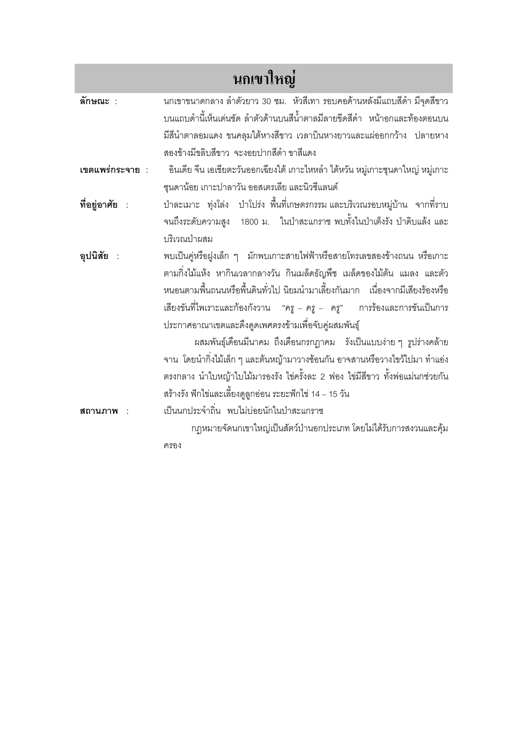| ็นกเขาใหญ่      |                                                                                 |
|-----------------|---------------------------------------------------------------------------------|
| ลักษณะ :        | นกเขาขนาดกลาง ลำตัวยาว 30 ซม. หัวสีเทา รอบคอด้านหลังมีแถบสีดำ มีจุดสีขาว        |
|                 | บนแถบดำนี้เห็นเด่นชัด ลำตัวด้านบนสีน้ำตาลมีลายขีดสีดำ  หน้าอกและท้องตอนบน       |
|                 | มีสีนำตาลอมแดง ขนคลุมใต้หางสีขาว เวลาบินหางยาวและแผ่ออกกว้าง ปลายหาง            |
|                 | สองข้างมีขลิบสีขาว จะงอยปากสีดำ ขาสีแดง                                         |
| เขตแพร่กระจาย : | อินเดีย จีน เอเชียตะวันออกเฉียงใต้ เกาะไหหลำ ไต้หวัน หมู่เกาะซุนดาใหญ่ หมู่เกาะ |
|                 | ซุนดาน้อย เกาะปาลาวัน ออสเตรเลีย และนิวซีแลนด์                                  |
| ที่อยู่อาศัย :  | ป่าละเมาะ ทุ่งโล่ง  ป่าโปร่ง พื้นที่เกษตรกรรม และบริเวณรอบหมู่บ้าน  จากที่ราบ   |
|                 | ึจนถึงระดับความสูง 1800 ม. ในป่าสะแกราช พบทั้งในป่าเต็งรัง ป่าดิบแล้ง และ       |
|                 | บริเวณป่าผสม                                                                    |
| อุปนิสัย :      | พบเป็นคู่หรือฝูงเล็ก ๆ   มักพบเกาะสายไฟฟ้าหรือสายโทรเลขสองข้างถนน หรือเกาะ      |
|                 | ตามกิ่งไม้แห้ง หากินเวลากลางวัน กินเมล็ดธัญพืช เมล็ดของไม้ต้น แมลง และตัว       |
|                 | หนอนตามพื้นถนนหรือพื้นดินทั่วไป นิยมนำมาเลี้ยงกันมาก เนื่องจากมีเสียงร้องหรือ   |
|                 | เสียงขันที่ไพเราะและก้องกังวาน "ครู – ครู – ครู"  การร้องและการขันเป็นการ       |
|                 | ประกาศอาณาเขตและดึงดูดเพศตรงข้ามเพื่อจับคู่ผสมพันธุ์                            |
|                 | ผสมพันธุ์เดือนมีนาคม ถึงเดือนกรกฎาคม   รังเป็นแบบง่าย ๆ รูปร่างคล้าย            |
|                 | จาน  โดยนำกิ่งไม้เล็ก ๆ และต้นหญ้ามาวางซ้อนกัน อาจสานหรือวางไขว้ไปมา ทำแอ่ง     |
|                 | ตรงกลาง นำใบหญ้าใบไม้มารองรัง ไข่ครั้งละ 2 ฟอง ไข่มีสีขาว ทั้งพ่อแม่นกช่วยกัน   |
|                 | สร้างรัง ฟักไข่และเลี้ยงดูลูกอ่อน ระยะฟักไข่ 14 – 15 วัน                        |
| สถานภาพ         | เป็นนกประจำถิ่น พบไม่บ่อยนักในป่าสะแกราช                                        |
|                 | กฏหมายจัดนกเขาใหญ่เป็นสัตว์ป่านอกประเภท โดยไม่ได้รับการสงวนและคุ้ม              |
|                 | ครอง                                                                            |
|                 |                                                                                 |